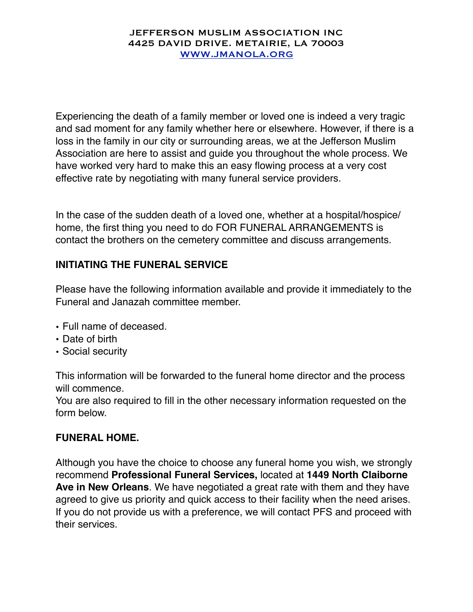#### JEFFERSON MUSLIM ASSOCIATION INC 4425 DAVID DRIVE. METAIRIE, LA 70003 [WWW.JMANOLA.ORG](http://WWW.JMANOLA.ORG)

Experiencing the death of a family member or loved one is indeed a very tragic and sad moment for any family whether here or elsewhere. However, if there is a loss in the family in our city or surrounding areas, we at the Jefferson Muslim Association are here to assist and guide you throughout the whole process. We have worked very hard to make this an easy flowing process at a very cost effective rate by negotiating with many funeral service providers.

In the case of the sudden death of a loved one, whether at a hospital/hospice/ home, the first thing you need to do FOR FUNERAL ARRANGEMENTS is contact the brothers on the cemetery committee and discuss arrangements.

# **INITIATING THE FUNERAL SERVICE**

Please have the following information available and provide it immediately to the Funeral and Janazah committee member.

- Full name of deceased.
- Date of birth
- Social security

This information will be forwarded to the funeral home director and the process will commence.

You are also required to fill in the other necessary information requested on the form below.

### **FUNERAL HOME.**

Although you have the choice to choose any funeral home you wish, we strongly recommend **Professional Funeral Services,** located at **1449 North Claiborne Ave in New Orleans**. We have negotiated a great rate with them and they have agreed to give us priority and quick access to their facility when the need arises. If you do not provide us with a preference, we will contact PFS and proceed with their services.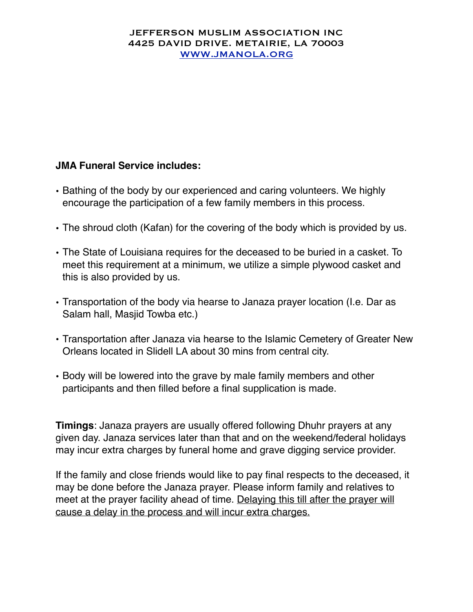#### JEFFERSON MUSLIM ASSOCIATION INC 4425 DAVID DRIVE. METAIRIE, LA 70003 [WWW.JMANOLA.ORG](http://WWW.JMANOLA.ORG)

# **JMA Funeral Service includes:**

- Bathing of the body by our experienced and caring volunteers. We highly encourage the participation of a few family members in this process.
- The shroud cloth (Kafan) for the covering of the body which is provided by us.
- The State of Louisiana requires for the deceased to be buried in a casket. To meet this requirement at a minimum, we utilize a simple plywood casket and this is also provided by us.
- Transportation of the body via hearse to Janaza prayer location (I.e. Dar as Salam hall, Masjid Towba etc.)
- Transportation after Janaza via hearse to the Islamic Cemetery of Greater New Orleans located in Slidell LA about 30 mins from central city.
- Body will be lowered into the grave by male family members and other participants and then filled before a final supplication is made.

**Timings**: Janaza prayers are usually offered following Dhuhr prayers at any given day. Janaza services later than that and on the weekend/federal holidays may incur extra charges by funeral home and grave digging service provider.

If the family and close friends would like to pay final respects to the deceased, it may be done before the Janaza prayer. Please inform family and relatives to meet at the prayer facility ahead of time. Delaying this till after the prayer will cause a delay in the process and will incur extra charges.